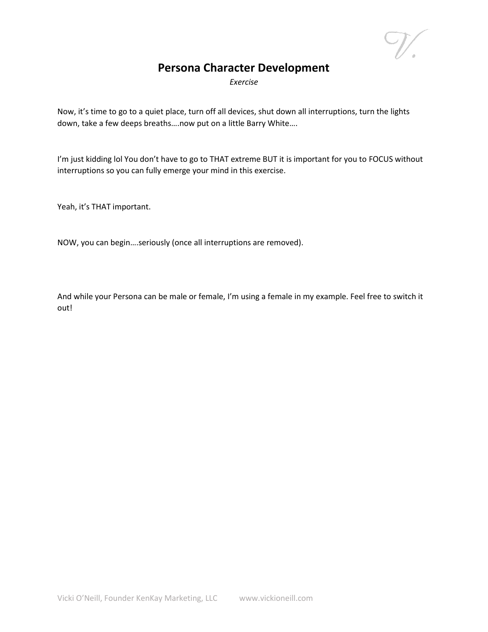## **Persona Character Development**

*Exercise*

Now, it's time to go to a quiet place, turn off all devices, shut down all interruptions, turn the lights down, take a few deeps breaths….now put on a little Barry White….

I'm just kidding lol You don't have to go to THAT extreme BUT it is important for you to FOCUS without interruptions so you can fully emerge your mind in this exercise.

Yeah, it's THAT important.

NOW, you can begin….seriously (once all interruptions are removed).

And while your Persona can be male or female, I'm using a female in my example. Feel free to switch it out!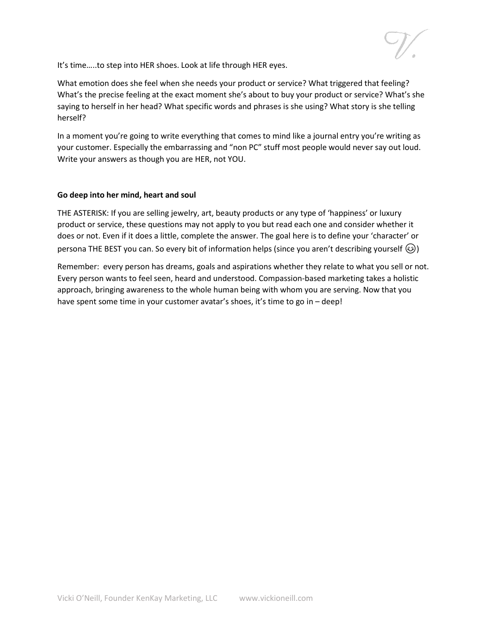It's time…..to step into HER shoes. Look at life through HER eyes.

What emotion does she feel when she needs your product or service? What triggered that feeling? What's the precise feeling at the exact moment she's about to buy your product or service? What's she saying to herself in her head? What specific words and phrases is she using? What story is she telling herself?

In a moment you're going to write everything that comes to mind like a journal entry you're writing as your customer. Especially the embarrassing and "non PC" stuff most people would never say out loud. Write your answers as though you are HER, not YOU.

## **Go deep into her mind, heart and soul**

THE ASTERISK: If you are selling jewelry, art, beauty products or any type of 'happiness' or luxury product or service, these questions may not apply to you but read each one and consider whether it does or not. Even if it does a little, complete the answer. The goal here is to define your 'character' or persona THE BEST you can. So every bit of information helps (since you aren't describing yourself  $\circled{e}$ )

Remember: every person has dreams, goals and aspirations whether they relate to what you sell or not. Every person wants to feel seen, heard and understood. Compassion-based marketing takes a holistic approach, bringing awareness to the whole human being with whom you are serving. Now that you have spent some time in your customer avatar's shoes, it's time to go in – deep!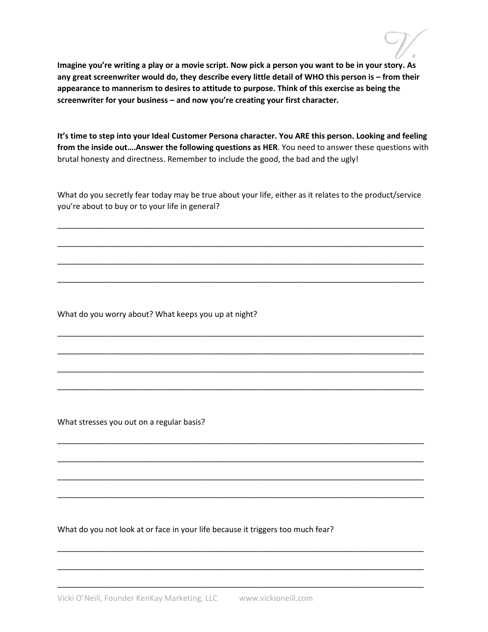**Imagine you're writing a play or a movie script. Now pick a person you want to be in your story. As any great screenwriter would do, they describe every little detail of WHO this person is – from their appearance to mannerism to desires to attitude to purpose. Think of this exercise as being the screenwriter for your business – and now you're creating your first character.** 

**It's time to step into your Ideal Customer Persona character. You ARE this person. Looking and feeling from the inside out….Answer the following questions as HER**. You need to answer these questions with brutal honesty and directness. Remember to include the good, the bad and the ugly!

What do you secretly fear today may be true about your life, either as it relates to the product/service you're about to buy or to your life in general?

\_\_\_\_\_\_\_\_\_\_\_\_\_\_\_\_\_\_\_\_\_\_\_\_\_\_\_\_\_\_\_\_\_\_\_\_\_\_\_\_\_\_\_\_\_\_\_\_\_\_\_\_\_\_\_\_\_\_\_\_\_\_\_\_\_\_\_\_\_\_\_\_\_\_\_\_\_\_\_\_\_\_\_\_

\_\_\_\_\_\_\_\_\_\_\_\_\_\_\_\_\_\_\_\_\_\_\_\_\_\_\_\_\_\_\_\_\_\_\_\_\_\_\_\_\_\_\_\_\_\_\_\_\_\_\_\_\_\_\_\_\_\_\_\_\_\_\_\_\_\_\_\_\_\_\_\_\_\_\_\_\_\_\_\_\_\_\_\_

\_\_\_\_\_\_\_\_\_\_\_\_\_\_\_\_\_\_\_\_\_\_\_\_\_\_\_\_\_\_\_\_\_\_\_\_\_\_\_\_\_\_\_\_\_\_\_\_\_\_\_\_\_\_\_\_\_\_\_\_\_\_\_\_\_\_\_\_\_\_\_\_\_\_\_\_\_\_\_\_\_\_\_\_

\_\_\_\_\_\_\_\_\_\_\_\_\_\_\_\_\_\_\_\_\_\_\_\_\_\_\_\_\_\_\_\_\_\_\_\_\_\_\_\_\_\_\_\_\_\_\_\_\_\_\_\_\_\_\_\_\_\_\_\_\_\_\_\_\_\_\_\_\_\_\_\_\_\_\_\_\_\_\_\_\_\_\_\_

\_\_\_\_\_\_\_\_\_\_\_\_\_\_\_\_\_\_\_\_\_\_\_\_\_\_\_\_\_\_\_\_\_\_\_\_\_\_\_\_\_\_\_\_\_\_\_\_\_\_\_\_\_\_\_\_\_\_\_\_\_\_\_\_\_\_\_\_\_\_\_\_\_\_\_\_\_\_\_\_\_\_\_\_

\_\_\_\_\_\_\_\_\_\_\_\_\_\_\_\_\_\_\_\_\_\_\_\_\_\_\_\_\_\_\_\_\_\_\_\_\_\_\_\_\_\_\_\_\_\_\_\_\_\_\_\_\_\_\_\_\_\_\_\_\_\_\_\_\_\_\_\_\_\_\_\_\_\_\_\_\_\_\_\_\_\_\_\_

\_\_\_\_\_\_\_\_\_\_\_\_\_\_\_\_\_\_\_\_\_\_\_\_\_\_\_\_\_\_\_\_\_\_\_\_\_\_\_\_\_\_\_\_\_\_\_\_\_\_\_\_\_\_\_\_\_\_\_\_\_\_\_\_\_\_\_\_\_\_\_\_\_\_\_\_\_\_\_\_\_\_\_\_

\_\_\_\_\_\_\_\_\_\_\_\_\_\_\_\_\_\_\_\_\_\_\_\_\_\_\_\_\_\_\_\_\_\_\_\_\_\_\_\_\_\_\_\_\_\_\_\_\_\_\_\_\_\_\_\_\_\_\_\_\_\_\_\_\_\_\_\_\_\_\_\_\_\_\_\_\_\_\_\_\_\_\_\_

\_\_\_\_\_\_\_\_\_\_\_\_\_\_\_\_\_\_\_\_\_\_\_\_\_\_\_\_\_\_\_\_\_\_\_\_\_\_\_\_\_\_\_\_\_\_\_\_\_\_\_\_\_\_\_\_\_\_\_\_\_\_\_\_\_\_\_\_\_\_\_\_\_\_\_\_\_\_\_\_\_\_\_\_

\_\_\_\_\_\_\_\_\_\_\_\_\_\_\_\_\_\_\_\_\_\_\_\_\_\_\_\_\_\_\_\_\_\_\_\_\_\_\_\_\_\_\_\_\_\_\_\_\_\_\_\_\_\_\_\_\_\_\_\_\_\_\_\_\_\_\_\_\_\_\_\_\_\_\_\_\_\_\_\_\_\_\_\_

\_\_\_\_\_\_\_\_\_\_\_\_\_\_\_\_\_\_\_\_\_\_\_\_\_\_\_\_\_\_\_\_\_\_\_\_\_\_\_\_\_\_\_\_\_\_\_\_\_\_\_\_\_\_\_\_\_\_\_\_\_\_\_\_\_\_\_\_\_\_\_\_\_\_\_\_\_\_\_\_\_\_\_\_

\_\_\_\_\_\_\_\_\_\_\_\_\_\_\_\_\_\_\_\_\_\_\_\_\_\_\_\_\_\_\_\_\_\_\_\_\_\_\_\_\_\_\_\_\_\_\_\_\_\_\_\_\_\_\_\_\_\_\_\_\_\_\_\_\_\_\_\_\_\_\_\_\_\_\_\_\_\_\_\_\_\_\_\_

\_\_\_\_\_\_\_\_\_\_\_\_\_\_\_\_\_\_\_\_\_\_\_\_\_\_\_\_\_\_\_\_\_\_\_\_\_\_\_\_\_\_\_\_\_\_\_\_\_\_\_\_\_\_\_\_\_\_\_\_\_\_\_\_\_\_\_\_\_\_\_\_\_\_\_\_\_\_\_\_\_\_\_\_

\_\_\_\_\_\_\_\_\_\_\_\_\_\_\_\_\_\_\_\_\_\_\_\_\_\_\_\_\_\_\_\_\_\_\_\_\_\_\_\_\_\_\_\_\_\_\_\_\_\_\_\_\_\_\_\_\_\_\_\_\_\_\_\_\_\_\_\_\_\_\_\_\_\_\_\_\_\_\_\_\_\_\_\_

\_\_\_\_\_\_\_\_\_\_\_\_\_\_\_\_\_\_\_\_\_\_\_\_\_\_\_\_\_\_\_\_\_\_\_\_\_\_\_\_\_\_\_\_\_\_\_\_\_\_\_\_\_\_\_\_\_\_\_\_\_\_\_\_\_\_\_\_\_\_\_\_\_\_\_\_\_\_\_\_\_\_\_\_

What do you worry about? What keeps you up at night?

What stresses you out on a regular basis?

What do you not look at or face in your life because it triggers too much fear?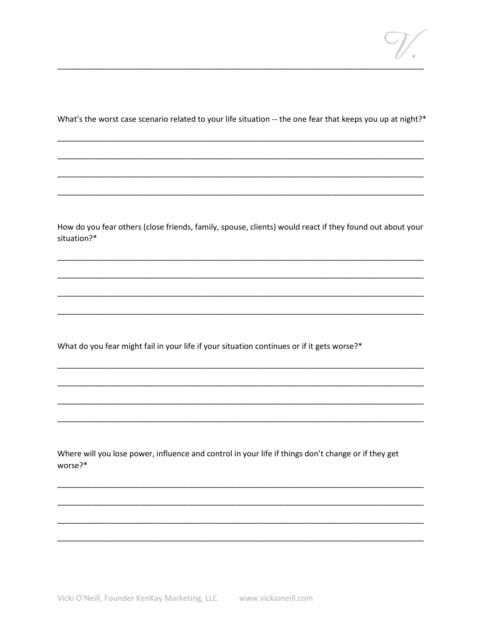What's the worst case scenario related to your life situation -- the one fear that keeps you up at night?\*

How do you fear others (close friends, family, spouse, clients) would react if they found out about your situation?\*

What do you fear might fail in your life if your situation continues or if it gets worse?\*

Where will you lose power, influence and control in your life if things don't change or if they get worse?\*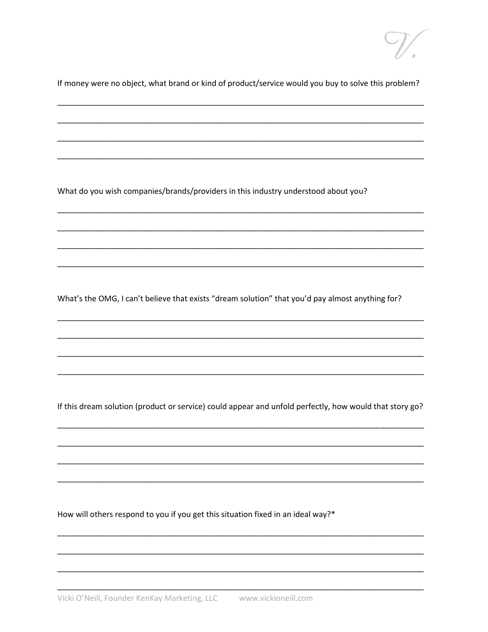If money were no object, what brand or kind of product/service would you buy to solve this problem?

What do you wish companies/brands/providers in this industry understood about you?

What's the OMG, I can't believe that exists "dream solution" that you'd pay almost anything for?

If this dream solution (product or service) could appear and unfold perfectly, how would that story go?

How will others respond to you if you get this situation fixed in an ideal way?\*